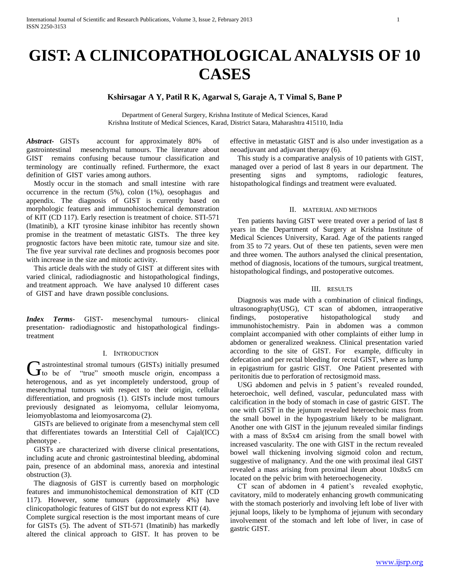# **GIST: A CLINICOPATHOLOGICAL ANALYSIS OF 10 CASES**

## **Kshirsagar A Y, Patil R K, Agarwal S, Garaje A, T Vimal S, Bane P**

Department of General Surgery, Krishna Institute of Medical Sciences, Karad Krishna Institute of Medical Sciences, Karad, District Satara, Maharashtra 415110, India

*Abstract***-** GISTs account for approximately 80% of gastrointestinal mesenchymal tumours. The literature about GIST remains confusing because tumour classification and terminology are continually refined. Furthermore, the exact definition of GIST varies among authors.

 Mostly occur in the stomach and small intestine with rare occurrence in the rectum (5%), colon (1%), oesophagus and appendix. The diagnosis of GIST is currently based on morphologic features and immunohistochemical demonstration of KIT (CD 117). Early resection is treatment of choice. STI-571 (Imatinib), a KIT tyrosine kinase inhibitor has recently shown promise in the treatment of metastatic GISTs. The three key prognostic factors have been mitotic rate, tumour size and site. The five year survival rate declines and prognosis becomes poor with increase in the size and mitotic activity.

 This article deals with the study of GIST at different sites with varied clinical, radiodiagnostic and histopathological findings, and treatment approach. We have analysed 10 different cases of GIST and have drawn possible conclusions.

*Index Terms*- GIST- mesenchymal tumours- clinical presentation- radiodiagnostic and histopathological findingstreatment

### I. INTRODUCTION

**M** astrointestinal stromal tumours (GISTs) initially presumed Gastrointestinal stromal tumours (GISTs) initially presumed<br>to be of "true" smooth muscle origin, encompass a heterogenous, and as yet incompletely understood, group of mesenchymal tumours with respect to their origin, cellular differentiation, and prognosis (1). GISTs include most tumours previously designated as leiomyoma, cellular leiomyoma, leiomyoblastoma and leiomyosarcoma (2).

 GISTs are believed to originate from a mesenchymal stem cell that differentiates towards an Interstitial Cell of Cajal(ICC) phenotype .

 GISTs are characterized with diverse clinical presentations, including acute and chronic gastrointestinal bleeding, abdominal pain, presence of an abdominal mass, anorexia and intestinal obstruction (3).

 The diagnosis of GIST is currently based on morphologic features and immunohistochemical demonstration of KIT (CD 117). However, some tumours (approximately 4%) have clinicopathologic features of GIST but do not express KIT (4).

Complete surgical resection is the most important means of cure for GISTs (5). The advent of STI-571 (Imatinib) has markedly altered the clinical approach to GIST. It has proven to be

effective in metastatic GIST and is also under investigation as a neoadjuvant and adjuvant therapy (6).

 This study is a comparative analysis of 10 patients with GIST, managed over a period of last 8 years in our department. The presenting signs and symptoms, radiologic features, histopathological findings and treatment were evaluated.

#### II. MATERIAL AND METHODS

 Ten patients having GIST were treated over a period of last 8 years in the Department of Surgery at Krishna Institute of Medical Sciences University, Karad. Age of the patients ranged from 35 to 72 years. Out of these ten patients, seven were men and three women. The authors analysed the clinical presentation, method of diagnosis, locations of the tumours, surgical treatment, histopathological findings, and postoperative outcomes.

### III. RESULTS

 Diagnosis was made with a combination of clinical findings, ultrasonography(USG), CT scan of abdomen, intraoperative findings, postoperative histopathological study and immunohistochemistry. Pain in abdomen was a common complaint accompanied with other complaints of either lump in abdomen or generalized weakness. Clinical presentation varied according to the site of GIST. For example, difficulty in defecation and per rectal bleeding for rectal GIST, where as lump in epigastrium for gastric GIST. One Patient presented with peritonitis due to perforation of rectosigmoid mass.

 USG abdomen and pelvis in 5 patient's revealed rounded, heteroechoic, well defined, vascular, pedunculated mass with calcification in the body of stomach in case of gastric GIST. The one with GIST in the jejunum revealed heteroechoic mass from the small bowel in the hypogastrium likely to be malignant. Another one with GIST in the jejunum revealed similar findings with a mass of 8x5x4 cm arising from the small bowel with increased vascularity. The one with GIST in the rectum revealed bowel wall thickening involving sigmoid colon and rectum, suggestive of malignancy. And the one with proximal ileal GIST revealed a mass arising from proximal ileum about 10x8x5 cm located on the pelvic brim with heteroechogenecity.

 CT scan of abdomen in 4 patient's revealed exophytic, cavitatory, mild to moderately enhancing growth communicating with the stomach posteriorly and involving left lobe of liver with jejunal loops, likely to be lymphoma of jejunum with secondary involvement of the stomach and left lobe of liver, in case of gastric GIST.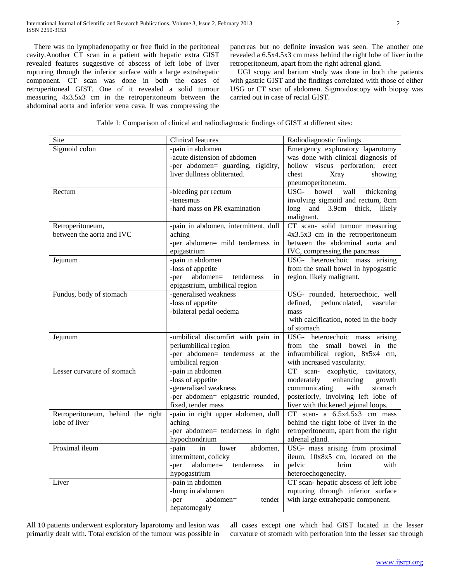There was no lymphadenopathy or free fluid in the peritoneal cavity.Another CT scan in a patient with hepatic extra GIST revealed features suggestive of abscess of left lobe of liver rupturing through the inferior surface with a large extrahepatic component. CT scan was done in both the cases of retroperitoneal GIST. One of it revealed a solid tumour measuring 4x3.5x3 cm in the retroperitoneum between the abdominal aorta and inferior vena cava. It was compressing the

pancreas but no definite invasion was seen. The another one revealed a 6.5x4.5x3 cm mass behind the right lobe of liver in the retroperitoneum, apart from the right adrenal gland.

 UGI scopy and barium study was done in both the patients with gastric GIST and the findings correlated with those of either USG or CT scan of abdomen. Sigmoidoscopy with biopsy was carried out in case of rectal GIST.

|  |  | Table 1: Comparison of clinical and radiodiagnostic findings of GIST at different sites: |
|--|--|------------------------------------------------------------------------------------------|
|  |  |                                                                                          |

| Site                                               | Clinical features                                                                                                         | Radiodiagnostic findings                                                                                                                                                                  |
|----------------------------------------------------|---------------------------------------------------------------------------------------------------------------------------|-------------------------------------------------------------------------------------------------------------------------------------------------------------------------------------------|
| Sigmoid colon                                      | -pain in abdomen<br>-acute distension of abdomen<br>-per abdomen= guarding, rigidity,<br>liver dullness obliterated.      | Emergency exploratory laparotomy<br>was done with clinical diagnosis of<br>hollow viscus perforation; erect<br>chest<br>Xray<br>showing<br>pneumoperitoneum.                              |
| Rectum                                             | -bleeding per rectum<br>-tenesmus<br>-hard mass on PR examination                                                         | bowel<br>USG-<br>wall<br>thickening<br>involving sigmoid and rectum, 8cm<br>long and 3.9cm thick,<br>likely<br>malignant.                                                                 |
| Retroperitoneum,<br>between the aorta and IVC      | -pain in abdomen, intermittent, dull<br>aching<br>-per abdomen= mild tenderness in<br>epigastrium                         | CT scan- solid tumour measuring<br>4x3.5x3 cm in the retroperitoneum<br>between the abdominal aorta and<br>IVC, compressing the pancreas                                                  |
| Jejunum                                            | -pain in abdomen<br>-loss of appetite<br>abdomen=<br>tenderness<br>-per<br>in<br>epigastrium, umbilical region            | USG- heteroechoic mass arising<br>from the small bowel in hypogastric<br>region, likely malignant.                                                                                        |
| Fundus, body of stomach                            | -generalised weakness<br>-loss of appetite<br>-bilateral pedal oedema                                                     | USG- rounded, heteroechoic, well<br>defined,<br>pedunculated,<br>vascular<br>mass<br>with calcification, noted in the body<br>of stomach                                                  |
| Jejunum                                            | -umbilical discomfirt with pain in<br>periumbilical region<br>-per abdomen= tenderness at the<br>umbilical region         | USG- heteroechoic mass arising<br>from the small bowel in the<br>infraumbilical region, 8x5x4 cm,<br>with increased vascularity.                                                          |
| Lesser curvature of stomach                        | -pain in abdomen<br>-loss of appetite<br>-generalised weakness<br>-per abdomen= epigastric rounded,<br>fixed, tender mass | CT<br>scan- exophytic, cavitatory,<br>moderately<br>enhancing<br>growth<br>communicating<br>with<br>stomach<br>posteriorly, involving left lobe of<br>liver with thickened jejunal loops. |
| Retroperitoneum, behind the right<br>lobe of liver | -pain in right upper abdomen, dull<br>aching<br>-per abdomen= tenderness in right<br>hypochondrium                        | $CT$ scan- a $6.5x4.5x3$ cm mass<br>behind the right lobe of liver in the<br>retroperitoneum, apart from the right<br>adrenal gland.                                                      |
| Proximal ileum                                     | lower<br>abdomen,<br>-pain<br>in<br>intermittent, colicky<br>abdomen=<br>-per<br>tenderness<br>in<br>hypogastrium         | USG- mass arising from proximal<br>ileum, 10x8x5 cm, located on the<br>pelvic<br>brim<br>with<br>heteroechogenecity.                                                                      |
| Liver                                              | -pain in abdomen<br>-lump in abdomen<br>-per<br>$abdomen =$<br>tender<br>hepatomegaly                                     | CT scan-hepatic abscess of left lobe<br>rupturing through inferior surface<br>with large extrahepatic component.                                                                          |

All 10 patients underwent exploratory laparotomy and lesion was primarily dealt with. Total excision of the tumour was possible in all cases except one which had GIST located in the lesser curvature of stomach with perforation into the lesser sac through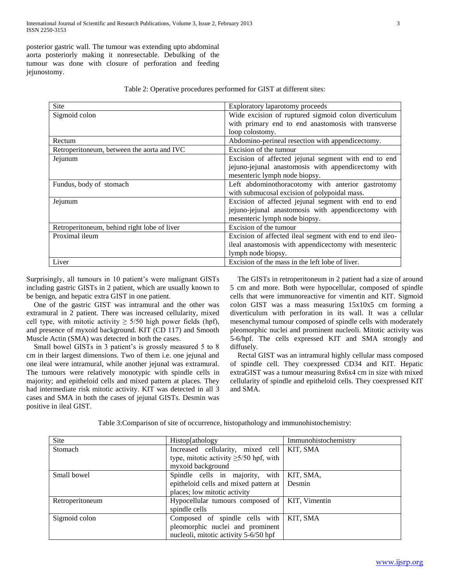posterior gastric wall. The tumour was extending upto abdominal aorta posteriorly making it nonresectable. Debulking of the tumour was done with closure of perforation and feeding jejunostomy.

| Table 2: Operative procedures performed for GIST at different sites: |
|----------------------------------------------------------------------|
|----------------------------------------------------------------------|

| Site                                        | Exploratory laparotomy proceeds                          |
|---------------------------------------------|----------------------------------------------------------|
| Sigmoid colon                               | Wide excision of ruptured sigmoid colon diverticulum     |
|                                             | with primary end to end anastomosis with transverse      |
|                                             | loop colostomy.                                          |
| Rectum                                      | Abdomino-perineal resection with appendicectomy.         |
| Retroperitoneum, between the aorta and IVC  | Excision of the tumour                                   |
| Jejunum                                     | Excision of affected jejunal segment with end to end     |
|                                             | jejuno-jejunal anastomosis with appendicectomy with      |
|                                             | mesenteric lymph node biopsy.                            |
| Fundus, body of stomach                     | Left abdominothoracotomy with anterior gastrotomy        |
|                                             | with submucosal excision of polypoidal mass.             |
| Jejunum                                     | Excision of affected jejunal segment with end to end     |
|                                             | jejuno-jejunal anastomosis with appendicectomy with      |
|                                             | mesenteric lymph node biopsy.                            |
| Retroperitoneum, behind right lobe of liver | Excision of the tumour                                   |
| Proximal ileum                              | Excision of affected ileal segment with end to end ileo- |
|                                             | ileal anastomosis with appendicectomy with mesenteric    |
|                                             | lymph node biopsy.                                       |
| Liver                                       | Excision of the mass in the left lobe of liver.          |

Surprisingly, all tumours in 10 patient's were malignant GISTs including gastric GISTs in 2 patient, which are usually known to be benign, and hepatic extra GIST in one patient.

 One of the gastric GIST was intramural and the other was extramural in 2 patient. There was increased cellularity, mixed cell type, with mitotic activity  $\geq$  5/50 high power fields (hpf), and presence of myxoid background. KIT (CD 117) and Smooth Muscle Actin (SMA) was detected in both the cases.

 Small bowel GISTs in 3 patient's is grossly measured 5 to 8 cm in their largest dimensions. Two of them i.e. one jejunal and one ileal were intramural, while another jejunal was extramural. The tumours were relatively monotypic with spindle cells in majority; and epitheloid cells and mixed pattern at places. They had intermediate risk mitotic activity. KIT was detected in all 3 cases and SMA in both the cases of jejunal GISTs. Desmin was positive in ileal GIST.

 The GISTs in retroperitoneum in 2 patient had a size of around 5 cm and more. Both were hypocellular, composed of spindle cells that were immunoreactive for vimentin and KIT. Sigmoid colon GIST was a mass measuring 15x10x5 cm forming a diverticulum with perforation in its wall. It was a cellular mesenchymal tumour composed of spindle cells with moderately pleomorphic nuclei and prominent nucleoli. Mitotic activity was 5-6/hpf. The cells expressed KIT and SMA strongly and diffusely.

 Rectal GIST was an intramural highly cellular mass composed of spindle cell. They coexpressed CD34 and KIT. Hepatic extraGIST was a tumour measuring 8x6x4 cm in size with mixed cellularity of spindle and epitheloid cells. They coexpressed KIT and SMA.

Table 3:Comparison of site of occurrence, histopathology and immunohistochemistry:

| Site            | Histop[athology]                             | Immunohistochemistry |
|-----------------|----------------------------------------------|----------------------|
| Stomach         | Increased cellularity, mixed cell            | KIT, SMA             |
|                 | type, mitotic activity $\geq 5/50$ hpf, with |                      |
|                 | myxoid background                            |                      |
| Small bowel     | Spindle cells in majority, with              | KIT, SMA,            |
|                 | epitheloid cells and mixed pattern at Desmin |                      |
|                 | places; low mitotic activity                 |                      |
| Retroperitoneum | Hypocellular tumours composed of             | KIT, Vimentin        |
|                 | spindle cells                                |                      |
| Sigmoid colon   | Composed of spindle cells with               | KIT, SMA             |
|                 | pleomorphic nuclei and prominent             |                      |
|                 | nucleoli, mitotic activity 5-6/50 hpf        |                      |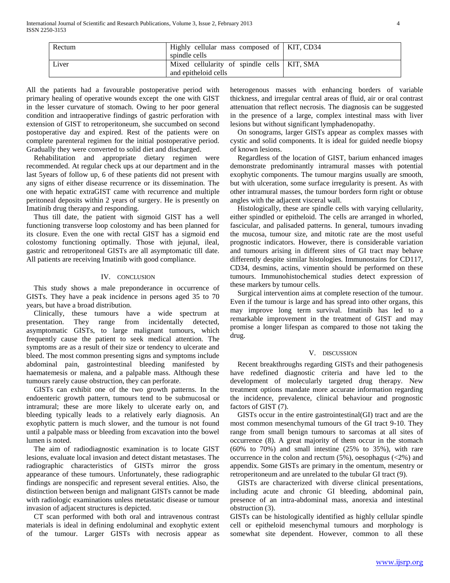| Rectum | Highly cellular mass composed of   KIT, CD34<br>spindle cells         |  |
|--------|-----------------------------------------------------------------------|--|
| Liver  | Mixed cellularity of spindle cells   KIT, SMA<br>and epitheloid cells |  |

All the patients had a favourable postoperative period with primary healing of operative wounds except the one with GIST in the lesser curvature of stomach. Owing to her poor general condition and intraoperative findings of gastric perforation with extension of GIST to retroperitoneum, she succumbed on second postoperative day and expired. Rest of the patients were on complete parenteral regimen for the initial postoperative period. Gradually they were converted to solid diet and discharged.

 Rehabilitation and appropriate dietary regimen were recommended. At regular check ups at our department and in the last 5years of follow up, 6 of these patients did not present with any signs of either disease recurrence or its dissemination. The one with hepatic extraGIST came with recurrence and multiple peritoneal deposits within 2 years of surgery. He is presently on Imatinib drug therapy and responding.

 Thus till date, the patient with sigmoid GIST has a well functioning transverse loop colostomy and has been planned for its closure. Even the one with rectal GIST has a sigmoid end colostomy functioning optimally. Those with jejunal, ileal, gastric and retroperitoneal GISTs are all asymptomatic till date. All patients are receiving Imatinib with good compliance.

#### IV. CONCLUSION

 This study shows a male preponderance in occurrence of GISTs. They have a peak incidence in persons aged 35 to 70 years, but have a broad distribution.

 Clinically, these tumours have a wide spectrum at presentation. They range from incidentally detected, asymptomatic GISTs, to large malignant tumours, which frequently cause the patient to seek medical attention. The symptoms are as a result of their size or tendency to ulcerate and bleed. The most common presenting signs and symptoms include abdominal pain, gastrointestinal bleeding manifested by haematemesis or malena, and a palpable mass. Although these tumours rarely cause obstruction, they can perforate.

 GISTs can exhibit one of the two growth patterns. In the endoenteric growth pattern, tumours tend to be submucosal or intramural; these are more likely to ulcerate early on, and bleeding typically leads to a relatively early diagnosis. An exophytic pattern is much slower, and the tumour is not found until a palpable mass or bleeding from excavation into the bowel lumen is noted.

 The aim of radiodiagnostic examination is to locate GIST lesions, evaluate local invasion and detect distant metastases. The radiographic characteristics of GISTs mirror the gross appearance of these tumours. Unfortunately, these radiographic findings are nonspecific and represent several entities. Also, the distinction between benign and malignant GISTs cannot be made with radiologic examinations unless metastatic disease or tumour invasion of adjacent structures is depicted.

 CT scan performed with both oral and intravenous contrast materials is ideal in defining endoluminal and exophytic extent of the tumour. Larger GISTs with necrosis appear as

heterogenous masses with enhancing borders of variable thickness, and irregular central areas of fluid, air or oral contrast attenuation that reflect necrosis. The diagnosis can be suggested in the presence of a large, complex intestinal mass with liver lesions but without significant lymphadenopathy.

 On sonograms, larger GISTs appear as complex masses with cystic and solid components. It is ideal for guided needle biopsy of known lesions.

 Regardless of the location of GIST, barium enhanced images demonstrate predominantly intramural masses with potential exophytic components. The tumour margins usually are smooth, but with ulceration, some surface irregularity is present. As with other intramural masses, the tumour borders form right or obtuse angles with the adjacent visceral wall.

 Histologically, these are spindle cells with varying cellularity, either spindled or epitheloid. The cells are arranged in whorled, fascicular, and palisaded patterns. In general, tumours invading the mucosa, tumour size, and mitotic rate are the most useful prognostic indicators. However, there is considerable variation and tumours arising in different sites of GI tract may behave differently despite similar histologies. Immunostains for CD117, CD34, desmins, actins, vimentin should be performed on these tumours. Immunohistochemical studies detect expression of these markers by tumour cells.

 Surgical intervention aims at complete resection of the tumour. Even if the tumour is large and has spread into other organs, this may improve long term survival. Imatinib has led to a remarkable improvement in the treatment of GIST and may promise a longer lifespan as compared to those not taking the drug.

#### V. DISCUSSION

 Recent breakthroughs regarding GISTs and their pathogenesis have redefined diagnostic criteria and have led to the development of molecularly targeted drug therapy. New treatment options mandate more accurate information regarding the incidence, prevalence, clinical behaviour and prognostic factors of GIST (7).

 GISTs occur in the entire gastrointestinal(GI) tract and are the most common mesenchymal tumours of the GI tract 9-10. They range from small benign tumours to sarcomas at all sites of occurrence (8). A great majority of them occur in the stomach  $(60\%$  to 70%) and small intestine  $(25\%$  to 35%), with rare occurrence in the colon and rectum (5%), oesophagus (<2%) and appendix. Some GISTs are primary in the omentum, mesentry or retroperitoneum and are unrelated to the tubular GI tract (9).

 GISTs are characterized with diverse clinical presentations, including acute and chronic GI bleeding, abdominal pain, presence of an intra-abdominal mass, anorexia and intestinal obstruction (3).

GISTs can be histologically identified as highly cellular spindle cell or epitheloid mesenchymal tumours and morphology is somewhat site dependent. However, common to all these